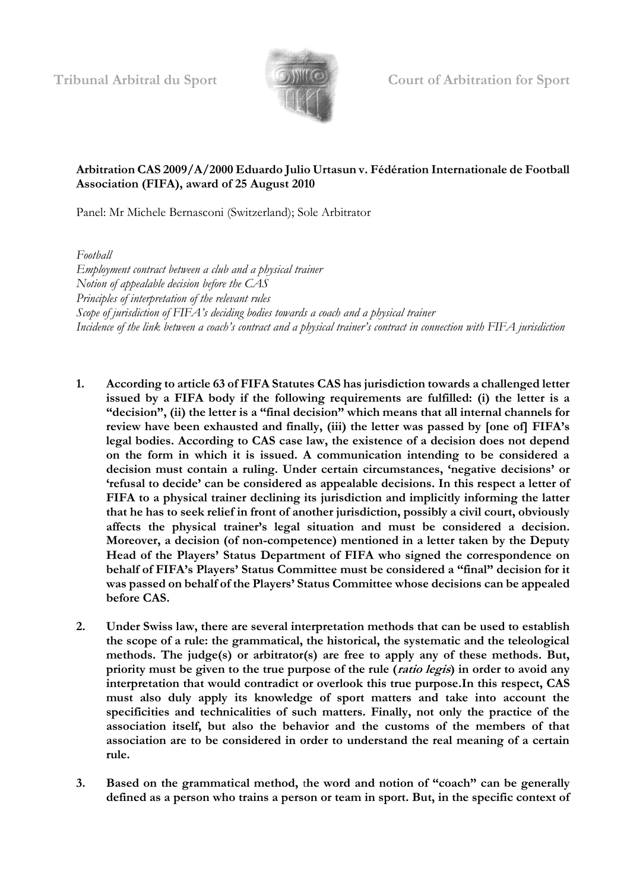

**Tribunal Arbitral du Sport Court of Arbitration for Sport**

## **Arbitration CAS 2009/A/2000 Eduardo Julio Urtasun v. Fédération Internationale de Football Association (FIFA), award of 25 August 2010**

Panel: Mr Michele Bernasconi (Switzerland); Sole Arbitrator

*Football*

*Employment contract between a club and a physical trainer Notion of appealable decision before the CAS Principles of interpretation of the relevant rules Scope of jurisdiction of FIFA's deciding bodies towards a coach and a physical trainer Incidence of the link between a coach's contract and a physical trainer's contract in connection with FIFA jurisdiction*

- **1. According to article 63 of FIFA Statutes CAS has jurisdiction towards a challenged letter issued by a FIFA body if the following requirements are fulfilled: (i) the letter is a "decision", (ii) the letter is a "final decision" which means that all internal channels for review have been exhausted and finally, (iii) the letter was passed by [one of] FIFA's legal bodies. According to CAS case law, the existence of a decision does not depend on the form in which it is issued. A communication intending to be considered a decision must contain a ruling. Under certain circumstances, 'negative decisions' or 'refusal to decide' can be considered as appealable decisions. In this respect a letter of FIFA to a physical trainer declining its jurisdiction and implicitly informing the latter that he has to seek relief in front of another jurisdiction, possibly a civil court, obviously affects the physical trainer's legal situation and must be considered a decision. Moreover, a decision (of non-competence) mentioned in a letter taken by the Deputy Head of the Players' Status Department of FIFA who signed the correspondence on behalf of FIFA's Players' Status Committee must be considered a "final" decision for it was passed on behalf of the Players' Status Committee whose decisions can be appealed before CAS.**
- **2. Under Swiss law, there are several interpretation methods that can be used to establish the scope of a rule: the grammatical, the historical, the systematic and the teleological methods. The judge(s) or arbitrator(s) are free to apply any of these methods. But, priority must be given to the true purpose of the rule (ratio legis) in order to avoid any interpretation that would contradict or overlook this true purpose.In this respect, CAS must also duly apply its knowledge of sport matters and take into account the specificities and technicalities of such matters. Finally, not only the practice of the association itself, but also the behavior and the customs of the members of that association are to be considered in order to understand the real meaning of a certain rule.**
- **3. Based on the grammatical method,** t**he word and notion of "coach" can be generally defined as a person who trains a person or team in sport. But, in the specific context of**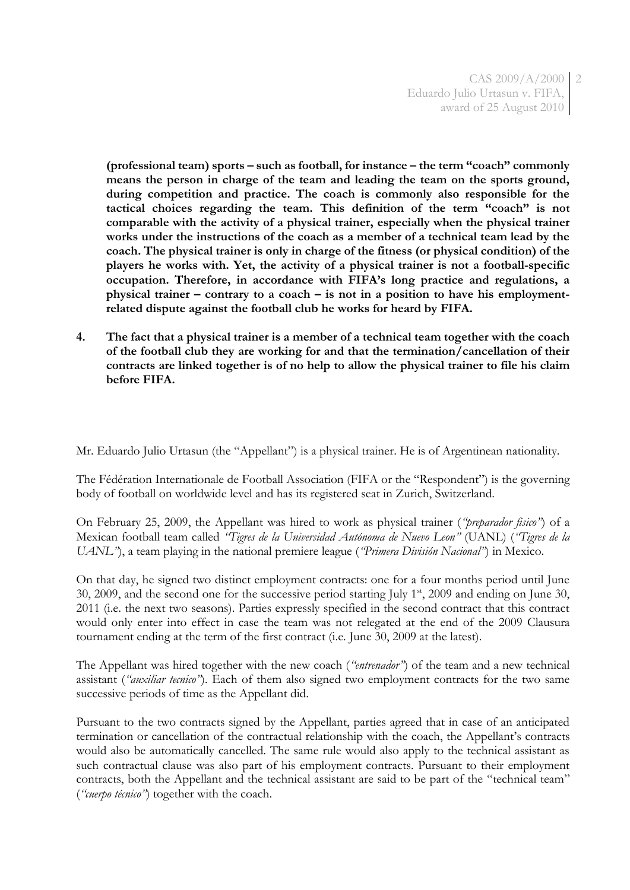CAS 2009/A/2000 2 Eduardo Julio Urtasun v. FIFA, award of 25 August 2010

**(professional team) sports – such as football, for instance – the term "coach" commonly means the person in charge of the team and leading the team on the sports ground, during competition and practice. The coach is commonly also responsible for the tactical choices regarding the team. This definition of the term "coach" is not comparable with the activity of a physical trainer, especially when the physical trainer works under the instructions of the coach as a member of a technical team lead by the coach. The physical trainer is only in charge of the fitness (or physical condition) of the players he works with. Yet, the activity of a physical trainer is not a football-specific occupation. Therefore, in accordance with FIFA's long practice and regulations, a physical trainer – contrary to a coach – is not in a position to have his employmentrelated dispute against the football club he works for heard by FIFA.** 

**4. The fact that a physical trainer is a member of a technical team together with the coach of the football club they are working for and that the termination/cancellation of their contracts are linked together is of no help to allow the physical trainer to file his claim before FIFA.**

Mr. Eduardo Julio Urtasun (the "Appellant") is a physical trainer. He is of Argentinean nationality.

The Fédération Internationale de Football Association (FIFA or the "Respondent") is the governing body of football on worldwide level and has its registered seat in Zurich, Switzerland.

On February 25, 2009, the Appellant was hired to work as physical trainer (*"preparador fisico"*) of a Mexican football team called *"Tigres de la Universidad Autónoma de Nuevo Leon"* (UANL) (*"Tigres de la UANL"*), a team playing in the national premiere league (*"Primera División Nacional"*) in Mexico.

On that day, he signed two distinct employment contracts: one for a four months period until June 30, 2009, and the second one for the successive period starting July  $1<sup>st</sup>$ , 2009 and ending on June 30, 2011 (i.e. the next two seasons). Parties expressly specified in the second contract that this contract would only enter into effect in case the team was not relegated at the end of the 2009 Clausura tournament ending at the term of the first contract (i.e. June 30, 2009 at the latest).

The Appellant was hired together with the new coach (*"entrenador"*) of the team and a new technical assistant (*"auxiliar tecnico"*). Each of them also signed two employment contracts for the two same successive periods of time as the Appellant did.

Pursuant to the two contracts signed by the Appellant, parties agreed that in case of an anticipated termination or cancellation of the contractual relationship with the coach, the Appellant's contracts would also be automatically cancelled. The same rule would also apply to the technical assistant as such contractual clause was also part of his employment contracts. Pursuant to their employment contracts, both the Appellant and the technical assistant are said to be part of the "technical team" (*"cuerpo técnico"*) together with the coach.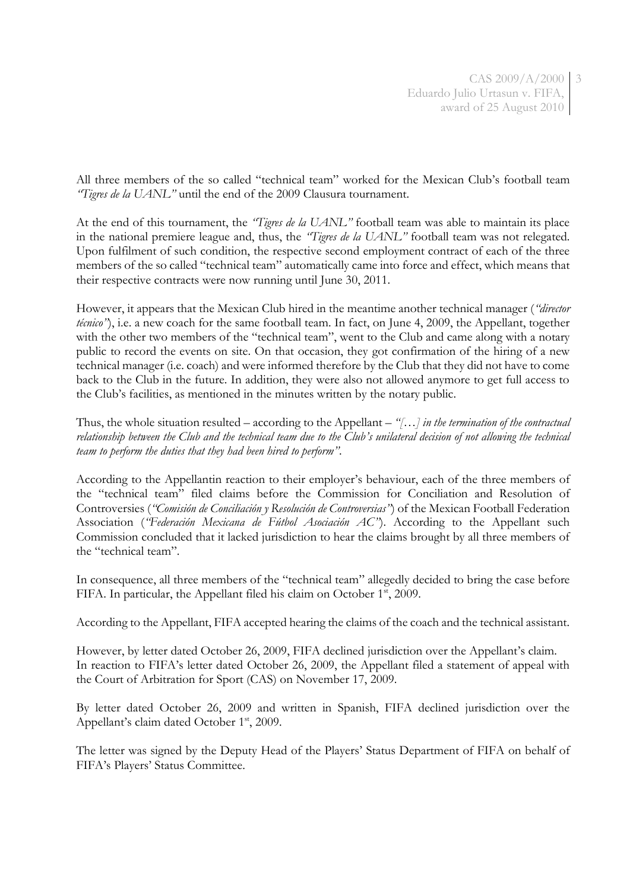All three members of the so called "technical team" worked for the Mexican Club's football team *"Tigres de la UANL"* until the end of the 2009 Clausura tournament.

At the end of this tournament, the *"Tigres de la UANL"* football team was able to maintain its place in the national premiere league and, thus, the *"Tigres de la UANL"* football team was not relegated. Upon fulfilment of such condition, the respective second employment contract of each of the three members of the so called "technical team" automatically came into force and effect, which means that their respective contracts were now running until June 30, 2011.

However, it appears that the Mexican Club hired in the meantime another technical manager (*"director técnico*<sup>"</sup>), i.e. a new coach for the same football team. In fact, on June 4, 2009, the Appellant, together with the other two members of the "technical team", went to the Club and came along with a notary public to record the events on site. On that occasion, they got confirmation of the hiring of a new technical manager (i.e. coach) and were informed therefore by the Club that they did not have to come back to the Club in the future. In addition, they were also not allowed anymore to get full access to the Club's facilities, as mentioned in the minutes written by the notary public.

Thus, the whole situation resulted – according to the Appellant – *"[…] in the termination of the contractual relationship between the Club and the technical team due to the Club's unilateral decision of not allowing the technical team to perform the duties that they had been hired to perform"*.

According to the Appellantin reaction to their employer's behaviour, each of the three members of the "technical team" filed claims before the Commission for Conciliation and Resolution of Controversies (*"Comisión de Conciliación y Resolución de Controversias"*) of the Mexican Football Federation Association (*"Federación Mexicana de Fútbol Asociación AC"*). According to the Appellant such Commission concluded that it lacked jurisdiction to hear the claims brought by all three members of the "technical team".

In consequence, all three members of the "technical team" allegedly decided to bring the case before FIFA. In particular, the Appellant filed his claim on October 1<sup>st</sup>, 2009.

According to the Appellant, FIFA accepted hearing the claims of the coach and the technical assistant.

However, by letter dated October 26, 2009, FIFA declined jurisdiction over the Appellant's claim. In reaction to FIFA's letter dated October 26, 2009, the Appellant filed a statement of appeal with the Court of Arbitration for Sport (CAS) on November 17, 2009.

By letter dated October 26, 2009 and written in Spanish, FIFA declined jurisdiction over the Appellant's claim dated October 1<sup>st</sup>, 2009.

The letter was signed by the Deputy Head of the Players' Status Department of FIFA on behalf of FIFA's Players' Status Committee.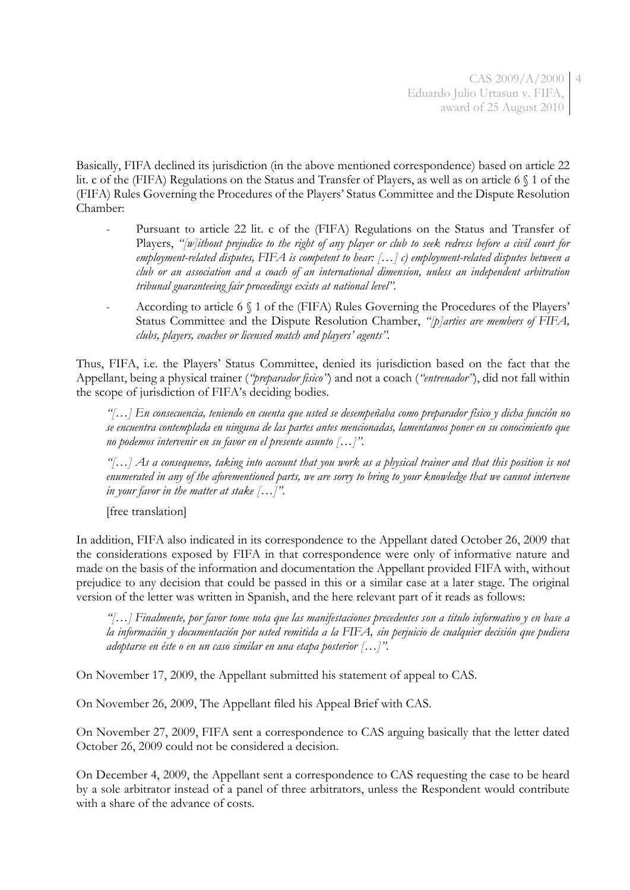Basically, FIFA declined its jurisdiction (in the above mentioned correspondence) based on article 22 lit. c of the (FIFA) Regulations on the Status and Transfer of Players, as well as on article 6 § 1 of the (FIFA) Rules Governing the Procedures of the Players' Status Committee and the Dispute Resolution Chamber:

- Pursuant to article 22 lit. c of the (FIFA) Regulations on the Status and Transfer of Players, *"[w]ithout prejudice to the right of any player or club to seek redress before a civil court for employment-related disputes, FIFA is competent to hear: […] c) employment-related disputes between a club or an association and a coach of an international dimension, unless an independent arbitration tribunal guaranteeing fair proceedings exists at national level".*
- *-* According to article 6 § 1 of the (FIFA) Rules Governing the Procedures of the Players' Status Committee and the Dispute Resolution Chamber, *"[p]arties are members of FIFA, clubs, players, coaches or licensed match and players' agents".*

Thus, FIFA, i.e. the Players' Status Committee, denied its jurisdiction based on the fact that the Appellant, being a physical trainer (*"preparador fisico"*) and not a coach (*"entrenador"*), did not fall within the scope of jurisdiction of FIFA's deciding bodies.

*"[…] En consecuencia, teniendo en cuenta que usted se desempeñaba como preparador fίsico y dicha funciόn no se encuentra contemplada en ninguna de las partes antes mencionadas, lamentamos poner en su conocimiento que no podemos intervenir en su favor en el presente asunto […]".*

*"[…] As a consequence, taking into account that you work as a physical trainer and that this position is not enumerated in any of the aforementioned parts, we are sorry to bring to your knowledge that we cannot intervene in your favor in the matter at stake […]".*

[free translation]

In addition, FIFA also indicated in its correspondence to the Appellant dated October 26, 2009 that the considerations exposed by FIFA in that correspondence were only of informative nature and made on the basis of the information and documentation the Appellant provided FIFA with, without prejudice to any decision that could be passed in this or a similar case at a later stage. The original version of the letter was written in Spanish, and the here relevant part of it reads as follows:

*"[…] Finalmente, por favor tome nota que las manifestaciones precedentes son a titulo informativo y en base a la información y documentación por usted remitida a la FIFA, sin perjuicio de cualquier decisión que pudiera adoptarse en éste o en un caso similar en una etapa posterior […]".*

On November 17, 2009, the Appellant submitted his statement of appeal to CAS.

On November 26, 2009, The Appellant filed his Appeal Brief with CAS.

On November 27, 2009, FIFA sent a correspondence to CAS arguing basically that the letter dated October 26, 2009 could not be considered a decision.

On December 4, 2009, the Appellant sent a correspondence to CAS requesting the case to be heard by a sole arbitrator instead of a panel of three arbitrators, unless the Respondent would contribute with a share of the advance of costs.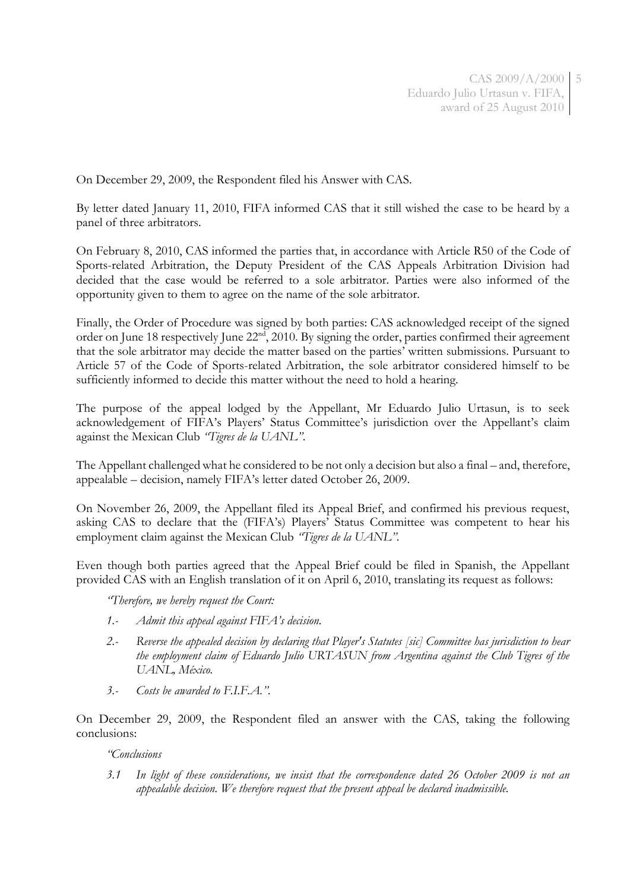On December 29, 2009, the Respondent filed his Answer with CAS.

By letter dated January 11, 2010, FIFA informed CAS that it still wished the case to be heard by a panel of three arbitrators.

On February 8, 2010, CAS informed the parties that, in accordance with Article R50 of the Code of Sports-related Arbitration, the Deputy President of the CAS Appeals Arbitration Division had decided that the case would be referred to a sole arbitrator. Parties were also informed of the opportunity given to them to agree on the name of the sole arbitrator.

Finally, the Order of Procedure was signed by both parties: CAS acknowledged receipt of the signed order on June 18 respectively June 22nd, 2010. By signing the order, parties confirmed their agreement that the sole arbitrator may decide the matter based on the parties' written submissions. Pursuant to Article 57 of the Code of Sports-related Arbitration, the sole arbitrator considered himself to be sufficiently informed to decide this matter without the need to hold a hearing.

The purpose of the appeal lodged by the Appellant, Mr Eduardo Julio Urtasun, is to seek acknowledgement of FIFA's Players' Status Committee's jurisdiction over the Appellant's claim against the Mexican Club *"Tigres de la UANL"*.

The Appellant challenged what he considered to be not only a decision but also a final – and, therefore, appealable – decision, namely FIFA's letter dated October 26, 2009.

On November 26, 2009, the Appellant filed its Appeal Brief, and confirmed his previous request, asking CAS to declare that the (FIFA's) Players' Status Committee was competent to hear his employment claim against the Mexican Club *"Tigres de la UANL"*.

Even though both parties agreed that the Appeal Brief could be filed in Spanish, the Appellant provided CAS with an English translation of it on April 6, 2010, translating its request as follows:

*"Therefore, we hereby request the Court:*

- *1.- Admit this appeal against FIFA's decision.*
- *2.- Reverse the appealed decision by declaring that Player's Statutes [sic] Committee has jurisdiction to hear the employment claim of Eduardo Julio URTASUN from Argentina against the Club Tigres of the UANL, México.*
- *3.- Costs be awarded to F.I.F.A.".*

On December 29, 2009, the Respondent filed an answer with the CAS, taking the following conclusions:

*"Conclusions*

*3.1 In light of these considerations, we insist that the correspondence dated 26 October 2009 is not an appealable decision. We therefore request that the present appeal be declared inadmissible.*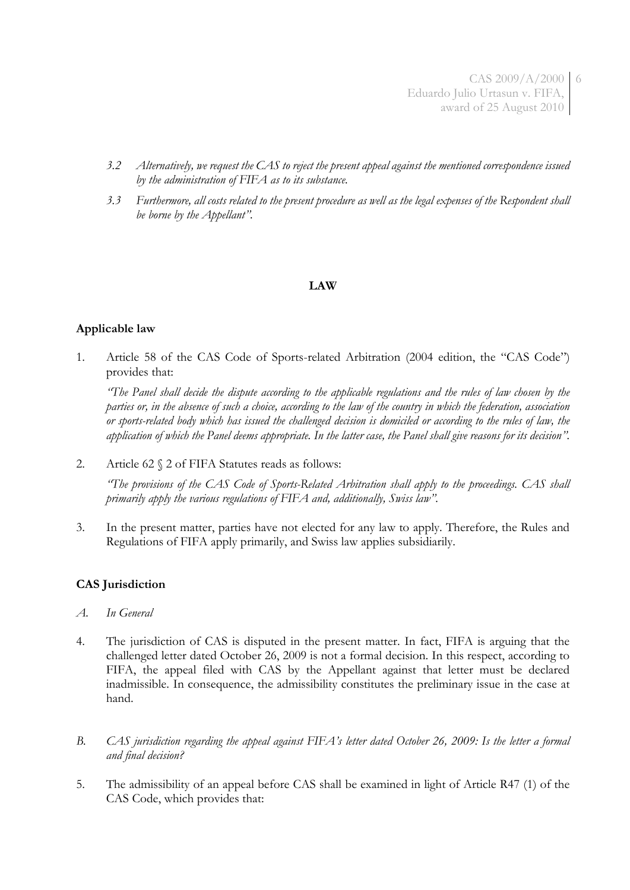CAS 2009/A/2000 6 Eduardo Julio Urtasun v. FIFA, award of 25 August 2010

- *3.2 Alternatively, we request the CAS to reject the present appeal against the mentioned correspondence issued by the administration of FIFA as to its substance.*
- *3.3 Furthermore, all costs related to the present procedure as well as the legal expenses of the Respondent shall be borne by the Appellant".*

## **LAW**

## **Applicable law**

1. Article 58 of the CAS Code of Sports-related Arbitration (2004 edition, the "CAS Code") provides that:

*"The Panel shall decide the dispute according to the applicable regulations and the rules of law chosen by the parties or, in the absence of such a choice, according to the law of the country in which the federation, association or sports-related body which has issued the challenged decision is domiciled or according to the rules of law, the application of which the Panel deems appropriate. In the latter case, the Panel shall give reasons for its decision".*

2. Article 62 § 2 of FIFA Statutes reads as follows:

*"The provisions of the CAS Code of Sports-Related Arbitration shall apply to the proceedings. CAS shall primarily apply the various regulations of FIFA and, additionally, Swiss law".*

3. In the present matter, parties have not elected for any law to apply. Therefore, the Rules and Regulations of FIFA apply primarily, and Swiss law applies subsidiarily.

## **CAS Jurisdiction**

- *A. In General*
- 4. The jurisdiction of CAS is disputed in the present matter. In fact, FIFA is arguing that the challenged letter dated October 26, 2009 is not a formal decision. In this respect, according to FIFA, the appeal filed with CAS by the Appellant against that letter must be declared inadmissible. In consequence, the admissibility constitutes the preliminary issue in the case at hand.
- *B. CAS jurisdiction regarding the appeal against FIFA's letter dated October 26, 2009: Is the letter a formal and final decision?*
- 5. The admissibility of an appeal before CAS shall be examined in light of Article R47 (1) of the CAS Code, which provides that: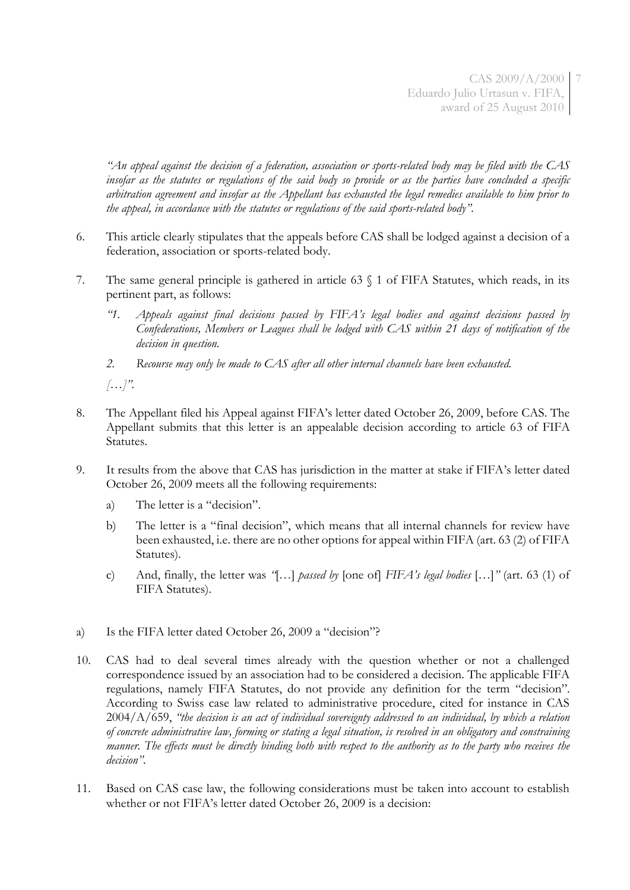*"An appeal against the decision of a federation, association or sports-related body may be filed with the CAS insofar as the statutes or regulations of the said body so provide or as the parties have concluded a specific arbitration agreement and insofar as the Appellant has exhausted the legal remedies available to him prior to the appeal, in accordance with the statutes or regulations of the said sports-related body".*

- 6. This article clearly stipulates that the appeals before CAS shall be lodged against a decision of a federation, association or sports-related body.
- 7. The same general principle is gathered in article 63 § 1 of FIFA Statutes, which reads, in its pertinent part, as follows:
	- *"1. Appeals against final decisions passed by FIFA's legal bodies and against decisions passed by Confederations, Members or Leagues shall be lodged with CAS within 21 days of notification of the decision in question.*
	- *2. Recourse may only be made to CAS after all other internal channels have been exhausted.*

*[…]".*

- 8. The Appellant filed his Appeal against FIFA's letter dated October 26, 2009, before CAS. The Appellant submits that this letter is an appealable decision according to article 63 of FIFA Statutes.
- 9. It results from the above that CAS has jurisdiction in the matter at stake if FIFA's letter dated October 26, 2009 meets all the following requirements:
	- a) The letter is a "decision".
	- b) The letter is a "final decision", which means that all internal channels for review have been exhausted, i.e. there are no other options for appeal within FIFA (art. 63 (2) of FIFA Statutes).
	- c) And, finally, the letter was *"*[…] *passed by* [one of] *FIFA's legal bodies* […]*"* (art. 63 (1) of FIFA Statutes).
- a) Is the FIFA letter dated October 26, 2009 a "decision"?
- 10. CAS had to deal several times already with the question whether or not a challenged correspondence issued by an association had to be considered a decision. The applicable FIFA regulations, namely FIFA Statutes, do not provide any definition for the term "decision". According to Swiss case law related to administrative procedure, cited for instance in CAS 2004/A/659, *"the decision is an act of individual sovereignty addressed to an individual, by which a relation of concrete administrative law, forming or stating a legal situation, is resolved in an obligatory and constraining manner. The effects must be directly binding both with respect to the authority as to the party who receives the decision"*.
- 11. Based on CAS case law, the following considerations must be taken into account to establish whether or not FIFA's letter dated October 26, 2009 is a decision: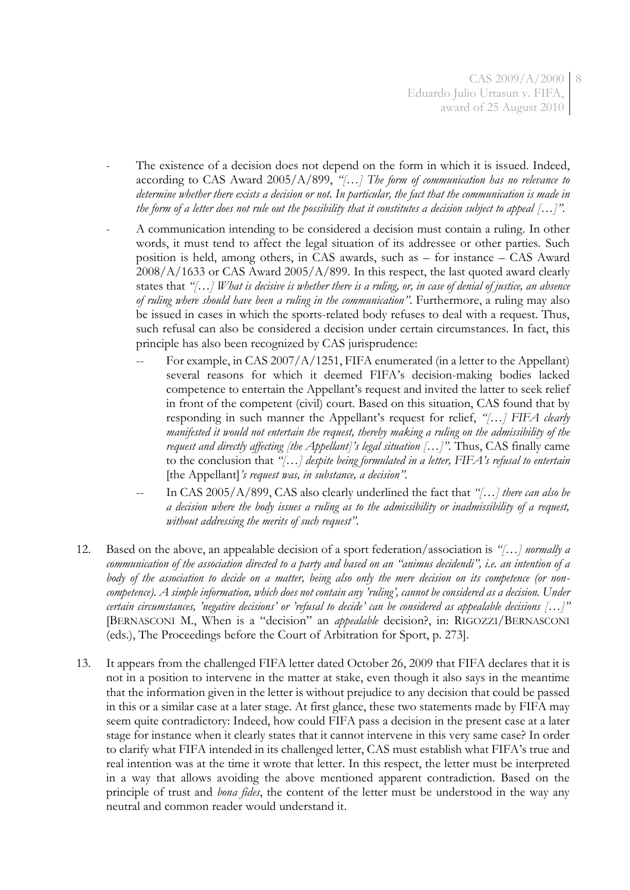- The existence of a decision does not depend on the form in which it is issued. Indeed, according to CAS Award 2005/A/899, *"[…] The form of communication has no relevance to determine whether there exists a decision or not. In particular, the fact that the communication is made in the form of a letter does not rule out the possibility that it constitutes a decision subject to appeal […]".*
- A communication intending to be considered a decision must contain a ruling. In other words, it must tend to affect the legal situation of its addressee or other parties. Such position is held, among others, in CAS awards, such as – for instance – CAS Award 2008/A/1633 or CAS Award 2005/A/899. In this respect, the last quoted award clearly states that *"[…] What is decisive is whether there is a ruling, or, in case of denial of justice, an absence of ruling where should have been a ruling in the communication"*. Furthermore, a ruling may also be issued in cases in which the sports-related body refuses to deal with a request. Thus, such refusal can also be considered a decision under certain circumstances. In fact, this principle has also been recognized by CAS jurisprudence:
	- For example, in CAS  $2007/A/1251$ , FIFA enumerated (in a letter to the Appellant) several reasons for which it deemed FIFA's decision-making bodies lacked competence to entertain the Appellant's request and invited the latter to seek relief in front of the competent (civil) court. Based on this situation, CAS found that by responding in such manner the Appellant's request for relief, *"[…] FIFA clearly manifested it would not entertain the request, thereby making a ruling on the admissibility of the request and directly affecting [the Appellant]'s legal situation […]".* Thus, CAS finally came to the conclusion that *"[…] despite being formulated in a letter, FIFA's refusal to entertain* [the Appellant]*'s request was, in substance, a decision".*
	- In CAS 2005/A/899, CAS also clearly underlined the fact that "[...] *there can also be a decision where the body issues a ruling as to the admissibility or inadmissibility of a request, without addressing the merits of such request".*
- 12. Based on the above, an appealable decision of a sport federation/association is *"[…] normally a communication of the association directed to a party and based on an "animus decidendi", i.e. an intention of a body of the association to decide on a matter, being also only the mere decision on its competence (or noncompetence). A simple information, which does not contain any 'ruling', cannot be considered as a decision. Under certain circumstances, 'negative decisions' or 'refusal to decide' can be considered as appealable decisions […]"* [BERNASCONI M., When is a "decision" an *appealable* decision?, in: RIGOZZI/BERNASCONI (eds.), The Proceedings before the Court of Arbitration for Sport, p. 273].
- 13. It appears from the challenged FIFA letter dated October 26, 2009 that FIFA declares that it is not in a position to intervene in the matter at stake, even though it also says in the meantime that the information given in the letter is without prejudice to any decision that could be passed in this or a similar case at a later stage. At first glance, these two statements made by FIFA may seem quite contradictory: Indeed, how could FIFA pass a decision in the present case at a later stage for instance when it clearly states that it cannot intervene in this very same case? In order to clarify what FIFA intended in its challenged letter, CAS must establish what FIFA's true and real intention was at the time it wrote that letter. In this respect, the letter must be interpreted in a way that allows avoiding the above mentioned apparent contradiction. Based on the principle of trust and *bona fides*, the content of the letter must be understood in the way any neutral and common reader would understand it.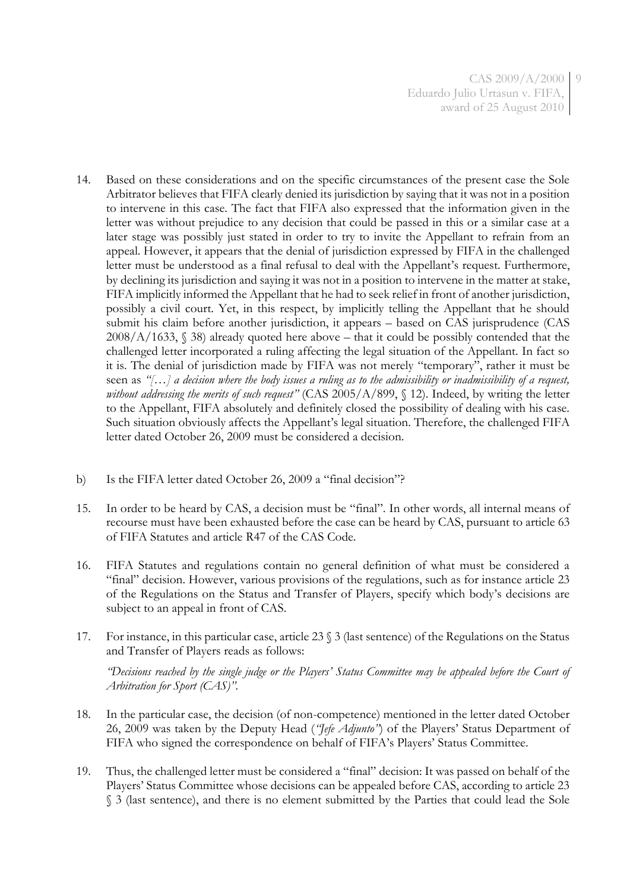- 14. Based on these considerations and on the specific circumstances of the present case the Sole Arbitrator believes that FIFA clearly denied its jurisdiction by saying that it was not in a position to intervene in this case. The fact that FIFA also expressed that the information given in the letter was without prejudice to any decision that could be passed in this or a similar case at a later stage was possibly just stated in order to try to invite the Appellant to refrain from an appeal. However, it appears that the denial of jurisdiction expressed by FIFA in the challenged letter must be understood as a final refusal to deal with the Appellant's request. Furthermore, by declining its jurisdiction and saying it was not in a position to intervene in the matter at stake, FIFA implicitly informed the Appellant that he had to seek relief in front of another jurisdiction, possibly a civil court. Yet, in this respect, by implicitly telling the Appellant that he should submit his claim before another jurisdiction, it appears – based on CAS jurisprudence (CAS  $2008/A/1633$ ,  $$38$ ) already quoted here above – that it could be possibly contended that the challenged letter incorporated a ruling affecting the legal situation of the Appellant. In fact so it is. The denial of jurisdiction made by FIFA was not merely "temporary", rather it must be seen as *"[…] a decision where the body issues a ruling as to the admissibility or inadmissibility of a request, without addressing the merits of such request"* (CAS 2005/A/899, § 12). Indeed, by writing the letter to the Appellant, FIFA absolutely and definitely closed the possibility of dealing with his case. Such situation obviously affects the Appellant's legal situation. Therefore, the challenged FIFA letter dated October 26, 2009 must be considered a decision.
- b) Is the FIFA letter dated October 26, 2009 a "final decision"?
- 15. In order to be heard by CAS, a decision must be "final". In other words, all internal means of recourse must have been exhausted before the case can be heard by CAS, pursuant to article 63 of FIFA Statutes and article R47 of the CAS Code.
- 16. FIFA Statutes and regulations contain no general definition of what must be considered a "final" decision. However, various provisions of the regulations, such as for instance article 23 of the Regulations on the Status and Transfer of Players, specify which body's decisions are subject to an appeal in front of CAS.
- 17. For instance, in this particular case, article 23 § 3 (last sentence) of the Regulations on the Status and Transfer of Players reads as follows:

*"Decisions reached by the single judge or the Players' Status Committee may be appealed before the Court of Arbitration for Sport (CAS)".*

- 18. In the particular case, the decision (of non-competence) mentioned in the letter dated October 26, 2009 was taken by the Deputy Head (*"Jefe Adjunto"*) of the Players' Status Department of FIFA who signed the correspondence on behalf of FIFA's Players' Status Committee.
- 19. Thus, the challenged letter must be considered a "final" decision: It was passed on behalf of the Players' Status Committee whose decisions can be appealed before CAS, according to article 23 § 3 (last sentence), and there is no element submitted by the Parties that could lead the Sole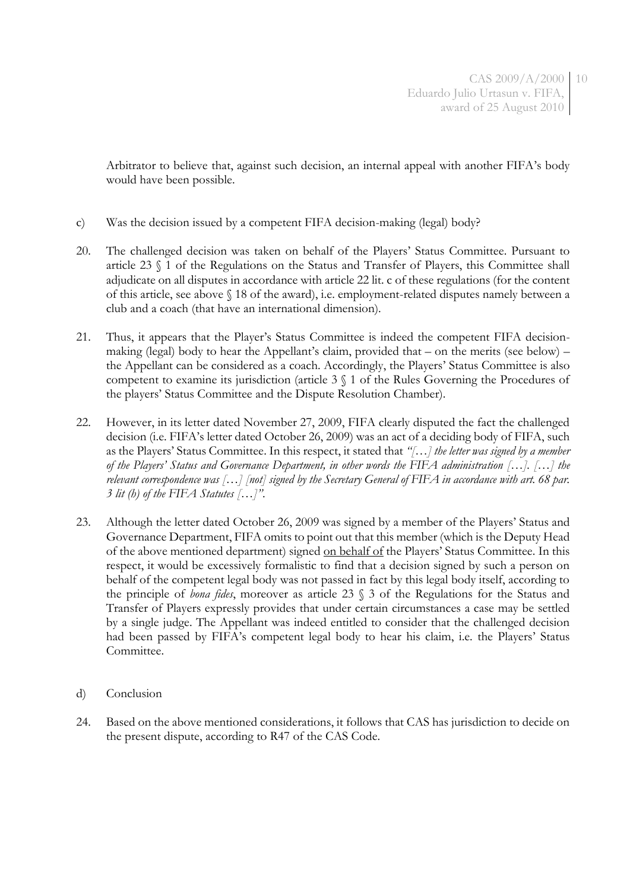Arbitrator to believe that, against such decision, an internal appeal with another FIFA's body would have been possible.

- c) Was the decision issued by a competent FIFA decision-making (legal) body?
- 20. The challenged decision was taken on behalf of the Players' Status Committee. Pursuant to article 23 § 1 of the Regulations on the Status and Transfer of Players, this Committee shall adjudicate on all disputes in accordance with article 22 lit. c of these regulations (for the content of this article, see above § 18 of the award), i.e. employment-related disputes namely between a club and a coach (that have an international dimension).
- 21. Thus, it appears that the Player's Status Committee is indeed the competent FIFA decisionmaking (legal) body to hear the Appellant's claim, provided that – on the merits (see below) – the Appellant can be considered as a coach. Accordingly, the Players' Status Committee is also competent to examine its jurisdiction (article 3 § 1 of the Rules Governing the Procedures of the players' Status Committee and the Dispute Resolution Chamber).
- 22. However, in its letter dated November 27, 2009, FIFA clearly disputed the fact the challenged decision (i.e. FIFA's letter dated October 26, 2009) was an act of a deciding body of FIFA, such as the Players' Status Committee. In this respect, it stated that *"[…] the letter was signed by a member of the Players' Status and Governance Department, in other words the FIFA administration […]. […] the relevant correspondence was […] [not] signed by the Secretary General of FIFA in accordance with art. 68 par. 3 lit (h) of the FIFA Statutes […]"*.
- 23. Although the letter dated October 26, 2009 was signed by a member of the Players' Status and Governance Department, FIFA omits to point out that this member (which is the Deputy Head of the above mentioned department) signed on behalf of the Players' Status Committee. In this respect, it would be excessively formalistic to find that a decision signed by such a person on behalf of the competent legal body was not passed in fact by this legal body itself, according to the principle of *bona fides*, moreover as article 23 § 3 of the Regulations for the Status and Transfer of Players expressly provides that under certain circumstances a case may be settled by a single judge. The Appellant was indeed entitled to consider that the challenged decision had been passed by FIFA's competent legal body to hear his claim, i.e. the Players' Status Committee.
- d) Conclusion
- 24. Based on the above mentioned considerations, it follows that CAS has jurisdiction to decide on the present dispute, according to R47 of the CAS Code.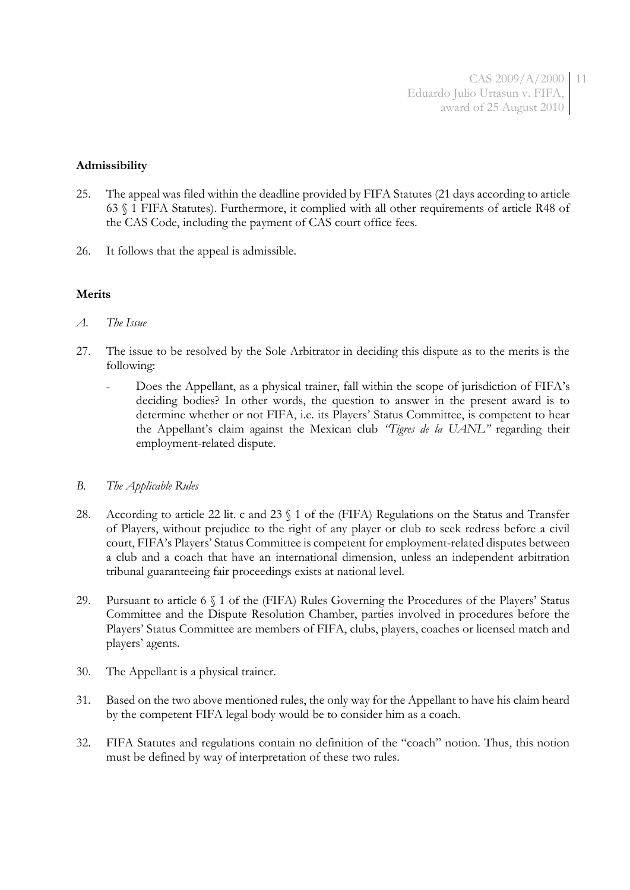CAS 2009/A/2000 11 Eduardo Julio Urtasun v. FIFA, award of 25 August 2010

### **Admissibility**

- 25. The appeal was filed within the deadline provided by FIFA Statutes (21 days according to article 63 § 1 FIFA Statutes). Furthermore, it complied with all other requirements of article R48 of the CAS Code, including the payment of CAS court office fees.
- 26. It follows that the appeal is admissible.

#### **Merits**

- *A. The Issue*
- 27. The issue to be resolved by the Sole Arbitrator in deciding this dispute as to the merits is the following:
	- Does the Appellant, as a physical trainer, fall within the scope of jurisdiction of FIFA's deciding bodies? In other words, the question to answer in the present award is to determine whether or not FIFA, i.e. its Players' Status Committee, is competent to hear the Appellant's claim against the Mexican club *"Tigres de la UANL"* regarding their employment-related dispute.

#### *B. The Applicable Rules*

- 28. According to article 22 lit. c and 23 § 1 of the (FIFA) Regulations on the Status and Transfer of Players, without prejudice to the right of any player or club to seek redress before a civil court, FIFA's Players' Status Committee is competent for employment-related disputes between a club and a coach that have an international dimension, unless an independent arbitration tribunal guaranteeing fair proceedings exists at national level.
- 29. Pursuant to article 6 § 1 of the (FIFA) Rules Governing the Procedures of the Players' Status Committee and the Dispute Resolution Chamber, parties involved in procedures before the Players' Status Committee are members of FIFA, clubs, players, coaches or licensed match and players' agents.
- 30. The Appellant is a physical trainer.
- 31. Based on the two above mentioned rules, the only way for the Appellant to have his claim heard by the competent FIFA legal body would be to consider him as a coach.
- 32. FIFA Statutes and regulations contain no definition of the "coach" notion. Thus, this notion must be defined by way of interpretation of these two rules.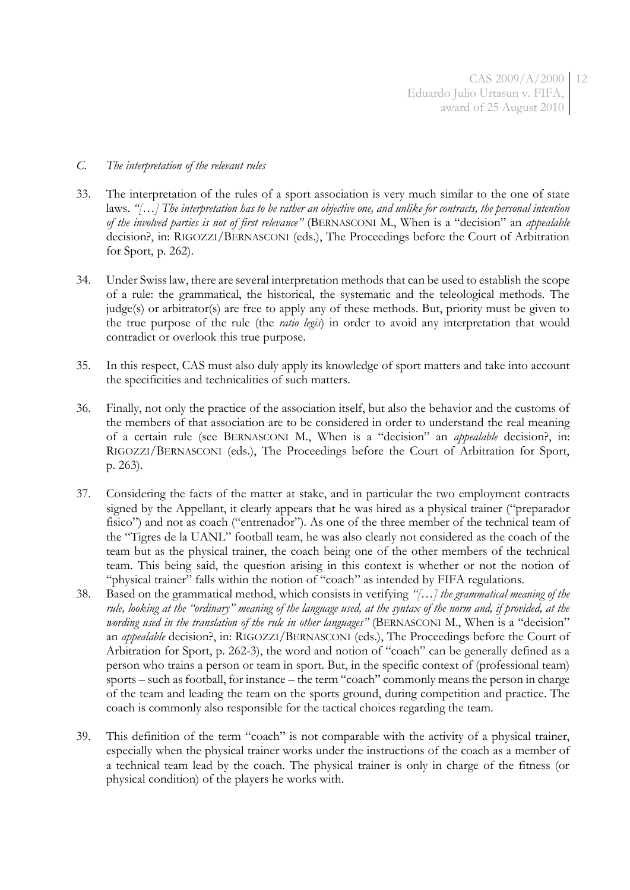- *C. The interpretation of the relevant rules*
- 33. The interpretation of the rules of a sport association is very much similar to the one of state laws. *"[…] The interpretation has to be rather an objective one, and unlike for contracts, the personal intention of the involved parties is not of first relevance"* (BERNASCONI M., When is a "decision" an *appealable* decision?, in: RIGOZZI/BERNASCONI (eds.), The Proceedings before the Court of Arbitration for Sport, p. 262).
- 34. Under Swiss law, there are several interpretation methods that can be used to establish the scope of a rule: the grammatical, the historical, the systematic and the teleological methods. The judge(s) or arbitrator(s) are free to apply any of these methods. But, priority must be given to the true purpose of the rule (the *ratio legis*) in order to avoid any interpretation that would contradict or overlook this true purpose.
- 35. In this respect, CAS must also duly apply its knowledge of sport matters and take into account the specificities and technicalities of such matters.
- 36. Finally, not only the practice of the association itself, but also the behavior and the customs of the members of that association are to be considered in order to understand the real meaning of a certain rule (see BERNASCONI M., When is a "decision" an *appealable* decision?, in: RIGOZZI/BERNASCONI (eds.), The Proceedings before the Court of Arbitration for Sport, p. 263).
- 37. Considering the facts of the matter at stake, and in particular the two employment contracts signed by the Appellant, it clearly appears that he was hired as a physical trainer ("preparador fisico") and not as coach ("entrenador"). As one of the three member of the technical team of the "Tigres de la UANL" football team, he was also clearly not considered as the coach of the team but as the physical trainer, the coach being one of the other members of the technical team. This being said, the question arising in this context is whether or not the notion of "physical trainer" falls within the notion of "coach" as intended by FIFA regulations.
- 38. Based on the grammatical method, which consists in verifying *"[…] the grammatical meaning of the rule, looking at the "ordinary" meaning of the language used, at the syntax of the norm and, if provided, at the wording used in the translation of the rule in other languages"* (BERNASCONI M., When is a "decision" an *appealable* decision?, in: RIGOZZI/BERNASCONI (eds.), The Proceedings before the Court of Arbitration for Sport, p. 262-3), the word and notion of "coach" can be generally defined as a person who trains a person or team in sport. But, in the specific context of (professional team) sports – such as football, for instance – the term "coach" commonly means the person in charge of the team and leading the team on the sports ground, during competition and practice. The coach is commonly also responsible for the tactical choices regarding the team.
- 39. This definition of the term "coach" is not comparable with the activity of a physical trainer, especially when the physical trainer works under the instructions of the coach as a member of a technical team lead by the coach. The physical trainer is only in charge of the fitness (or physical condition) of the players he works with.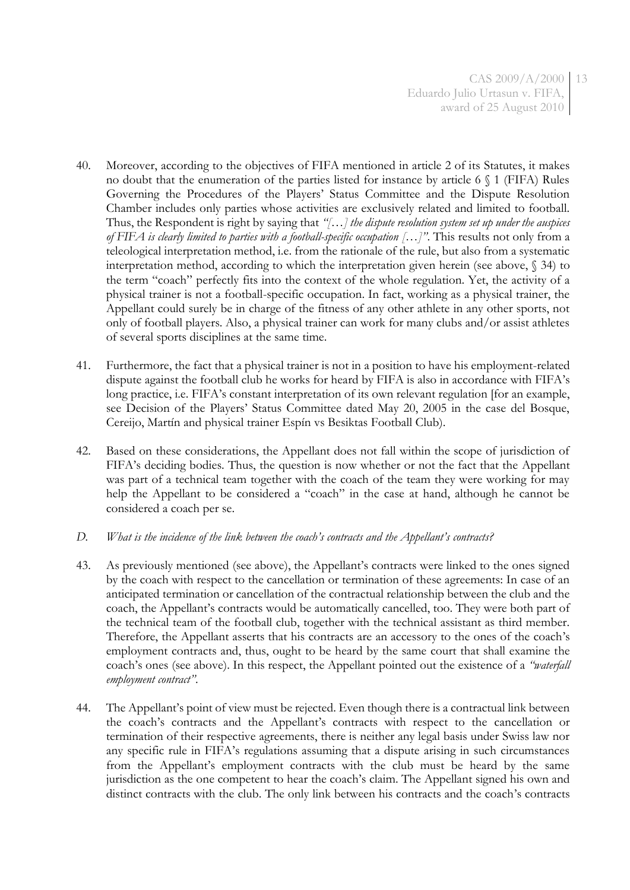- 40. Moreover, according to the objectives of FIFA mentioned in article 2 of its Statutes, it makes no doubt that the enumeration of the parties listed for instance by article 6 § 1 (FIFA) Rules Governing the Procedures of the Players' Status Committee and the Dispute Resolution Chamber includes only parties whose activities are exclusively related and limited to football. Thus, the Respondent is right by saying that *"[…] the dispute resolution system set up under the auspices of FIFA is clearly limited to parties with a football-specific occupation […]"*. This results not only from a teleological interpretation method, i.e. from the rationale of the rule, but also from a systematic interpretation method, according to which the interpretation given herein (see above, § 34) to the term "coach" perfectly fits into the context of the whole regulation. Yet, the activity of a physical trainer is not a football-specific occupation. In fact, working as a physical trainer, the Appellant could surely be in charge of the fitness of any other athlete in any other sports, not only of football players. Also, a physical trainer can work for many clubs and/or assist athletes of several sports disciplines at the same time.
- 41. Furthermore, the fact that a physical trainer is not in a position to have his employment-related dispute against the football club he works for heard by FIFA is also in accordance with FIFA's long practice, i.e. FIFA's constant interpretation of its own relevant regulation [for an example, see Decision of the Players' Status Committee dated May 20, 2005 in the case del Bosque, Cereijo, Martín and physical trainer Espín vs Besiktas Football Club).
- 42. Based on these considerations, the Appellant does not fall within the scope of jurisdiction of FIFA's deciding bodies. Thus, the question is now whether or not the fact that the Appellant was part of a technical team together with the coach of the team they were working for may help the Appellant to be considered a "coach" in the case at hand, although he cannot be considered a coach per se.
- *D. What is the incidence of the link between the coach's contracts and the Appellant's contracts?*
- 43. As previously mentioned (see above), the Appellant's contracts were linked to the ones signed by the coach with respect to the cancellation or termination of these agreements: In case of an anticipated termination or cancellation of the contractual relationship between the club and the coach, the Appellant's contracts would be automatically cancelled, too. They were both part of the technical team of the football club, together with the technical assistant as third member. Therefore, the Appellant asserts that his contracts are an accessory to the ones of the coach's employment contracts and, thus, ought to be heard by the same court that shall examine the coach's ones (see above). In this respect, the Appellant pointed out the existence of a *"waterfall employment contract"*.
- 44. The Appellant's point of view must be rejected. Even though there is a contractual link between the coach's contracts and the Appellant's contracts with respect to the cancellation or termination of their respective agreements, there is neither any legal basis under Swiss law nor any specific rule in FIFA's regulations assuming that a dispute arising in such circumstances from the Appellant's employment contracts with the club must be heard by the same jurisdiction as the one competent to hear the coach's claim. The Appellant signed his own and distinct contracts with the club. The only link between his contracts and the coach's contracts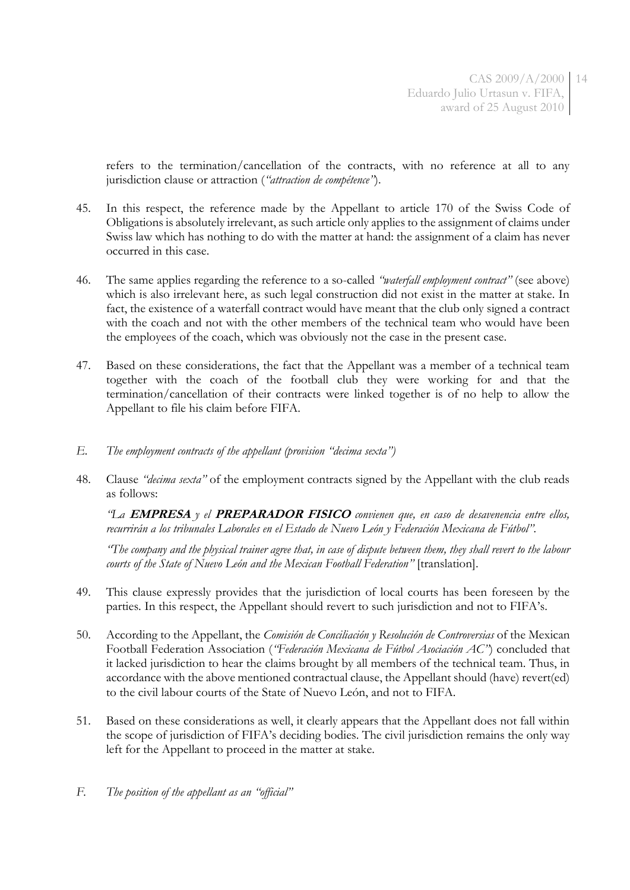refers to the termination/cancellation of the contracts, with no reference at all to any jurisdiction clause or attraction (*"attraction de compétence"*).

- 45. In this respect, the reference made by the Appellant to article 170 of the Swiss Code of Obligations is absolutely irrelevant, as such article only applies to the assignment of claims under Swiss law which has nothing to do with the matter at hand: the assignment of a claim has never occurred in this case.
- 46. The same applies regarding the reference to a so-called *"waterfall employment contract"* (see above) which is also irrelevant here, as such legal construction did not exist in the matter at stake. In fact, the existence of a waterfall contract would have meant that the club only signed a contract with the coach and not with the other members of the technical team who would have been the employees of the coach, which was obviously not the case in the present case.
- 47. Based on these considerations, the fact that the Appellant was a member of a technical team together with the coach of the football club they were working for and that the termination/cancellation of their contracts were linked together is of no help to allow the Appellant to file his claim before FIFA.
- *E. The employment contracts of the appellant (provision "decima sexta")*
- 48. Clause *"decima sexta"* of the employment contracts signed by the Appellant with the club reads as follows:

*"La* **EMPRESA** *y el* **PREPARADOR FISICO** *convienen que, en caso de desavenencia entre ellos, recurrirán a los tribunales Laborales en el Estado de Nuevo León y Federación Mexicana de Fútbol".*

*"The company and the physical trainer agree that, in case of dispute between them, they shall revert to the labour courts of the State of Nuevo León and the Mexican Football Federation"* [translation].

- 49. This clause expressly provides that the jurisdiction of local courts has been foreseen by the parties. In this respect, the Appellant should revert to such jurisdiction and not to FIFA's.
- 50. According to the Appellant, the *Comisión de Conciliación y Resolución de Controversias* of the Mexican Football Federation Association (*"Federación Mexicana de Fútbol Asociación AC"*) concluded that it lacked jurisdiction to hear the claims brought by all members of the technical team. Thus, in accordance with the above mentioned contractual clause, the Appellant should (have) revert(ed) to the civil labour courts of the State of Nuevo León, and not to FIFA.
- 51. Based on these considerations as well, it clearly appears that the Appellant does not fall within the scope of jurisdiction of FIFA's deciding bodies. The civil jurisdiction remains the only way left for the Appellant to proceed in the matter at stake.
- *F. The position of the appellant as an "official"*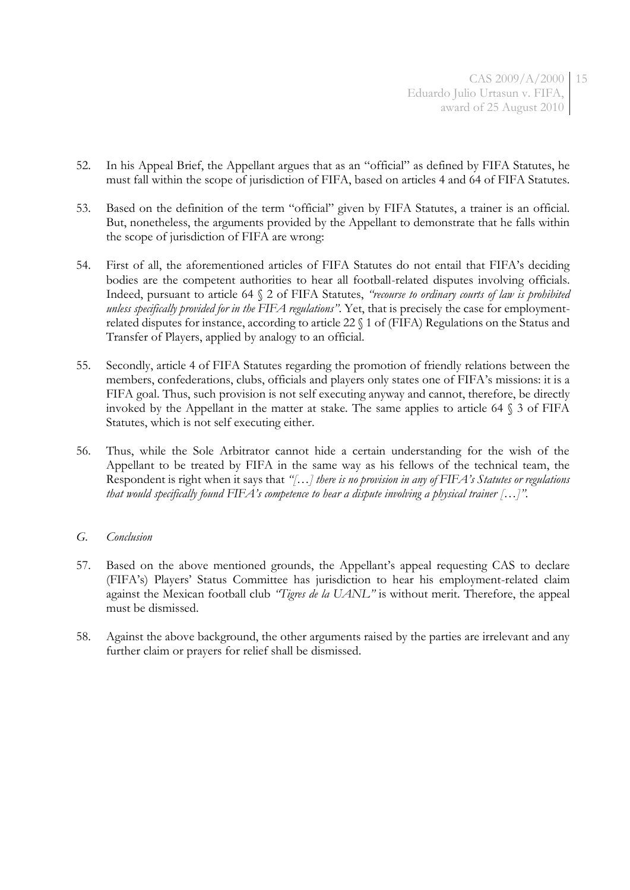- 52. In his Appeal Brief, the Appellant argues that as an "official" as defined by FIFA Statutes, he must fall within the scope of jurisdiction of FIFA, based on articles 4 and 64 of FIFA Statutes.
- 53. Based on the definition of the term "official" given by FIFA Statutes, a trainer is an official. But, nonetheless, the arguments provided by the Appellant to demonstrate that he falls within the scope of jurisdiction of FIFA are wrong:
- 54. First of all, the aforementioned articles of FIFA Statutes do not entail that FIFA's deciding bodies are the competent authorities to hear all football-related disputes involving officials. Indeed, pursuant to article 64 § 2 of FIFA Statutes, *"recourse to ordinary courts of law is prohibited unless specifically provided for in the FIFA regulations"*. Yet, that is precisely the case for employmentrelated disputes for instance, according to article 22 § 1 of (FIFA) Regulations on the Status and Transfer of Players, applied by analogy to an official.
- 55. Secondly, article 4 of FIFA Statutes regarding the promotion of friendly relations between the members, confederations, clubs, officials and players only states one of FIFA's missions: it is a FIFA goal. Thus, such provision is not self executing anyway and cannot, therefore, be directly invoked by the Appellant in the matter at stake. The same applies to article 64 § 3 of FIFA Statutes, which is not self executing either.
- 56. Thus, while the Sole Arbitrator cannot hide a certain understanding for the wish of the Appellant to be treated by FIFA in the same way as his fellows of the technical team, the Respondent is right when it says that *"[…] there is no provision in any of FIFA's Statutes or regulations that would specifically found FIFA's competence to hear a dispute involving a physical trainer […]".*

## *G. Conclusion*

- 57. Based on the above mentioned grounds, the Appellant's appeal requesting CAS to declare (FIFA's) Players' Status Committee has jurisdiction to hear his employment-related claim against the Mexican football club *"Tigres de la UANL"* is without merit. Therefore, the appeal must be dismissed.
- 58. Against the above background, the other arguments raised by the parties are irrelevant and any further claim or prayers for relief shall be dismissed.